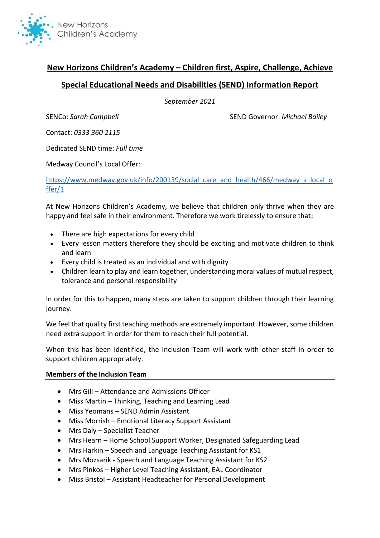

# **New Horizons Children's Academy – Children first, Aspire, Challenge, Achieve**

# **Special Educational Needs and Disabilities (SEND) Information Report**

*September 2021*

SENCo: *Sarah Campbell* SEND Governor: *Michael Bailey*

Contact: *0333 360 2115*

Dedicated SEND time: *Full time*

Medway Council's Local Offer:

[https://www.medway.gov.uk/info/200139/social\\_care\\_and\\_health/466/medway\\_s\\_local\\_o](https://www.medway.gov.uk/info/200139/social_care_and_health/466/medway_s_local_offer/1) [ffer/1](https://www.medway.gov.uk/info/200139/social_care_and_health/466/medway_s_local_offer/1)

At New Horizons Children's Academy, we believe that children only thrive when they are happy and feel safe in their environment. Therefore we work tirelessly to ensure that;

- There are high expectations for every child
- Every lesson matters therefore they should be exciting and motivate children to think and learn
- Every child is treated as an individual and with dignity
- Children learn to play and learn together, understanding moral values of mutual respect, tolerance and personal responsibility

In order for this to happen, many steps are taken to support children through their learning journey.

We feel that quality first teaching methods are extremely important. However, some children need extra support in order for them to reach their full potential.

When this has been identified, the Inclusion Team will work with other staff in order to support children appropriately.

#### **Members of the Inclusion Team**

- Mrs Gill Attendance and Admissions Officer
- Miss Martin Thinking, Teaching and Learning Lead
- Miss Yeomans SEND Admin Assistant
- Miss Morrish Emotional Literacy Support Assistant
- Mrs Daly Specialist Teacher
- Mrs Hearn Home School Support Worker, Designated Safeguarding Lead
- Mrs Harkin Speech and Language Teaching Assistant for KS1
- Mrs Mozsarik Speech and Language Teaching Assistant for KS2
- Mrs Pinkos Higher Level Teaching Assistant, EAL Coordinator
- Miss Bristol Assistant Headteacher for Personal Development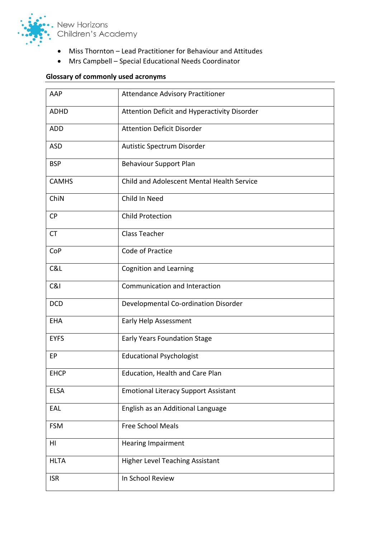

- Miss Thornton Lead Practitioner for Behaviour and Attitudes
- Mrs Campbell Special Educational Needs Coordinator

# **Glossary of commonly used acronyms**

| AAP          | <b>Attendance Advisory Practitioner</b>      |
|--------------|----------------------------------------------|
| <b>ADHD</b>  | Attention Deficit and Hyperactivity Disorder |
| <b>ADD</b>   | <b>Attention Deficit Disorder</b>            |
| <b>ASD</b>   | Autistic Spectrum Disorder                   |
| <b>BSP</b>   | <b>Behaviour Support Plan</b>                |
| <b>CAMHS</b> | Child and Adolescent Mental Health Service   |
| ChiN         | Child In Need                                |
| <b>CP</b>    | <b>Child Protection</b>                      |
| <b>CT</b>    | <b>Class Teacher</b>                         |
| CoP          | Code of Practice                             |
| C&L          | <b>Cognition and Learning</b>                |
| C&I          | Communication and Interaction                |
| <b>DCD</b>   | Developmental Co-ordination Disorder         |
| <b>EHA</b>   | Early Help Assessment                        |
| <b>EYFS</b>  | <b>Early Years Foundation Stage</b>          |
| EP           | <b>Educational Psychologist</b>              |
| <b>EHCP</b>  | Education, Health and Care Plan              |
| <b>ELSA</b>  | <b>Emotional Literacy Support Assistant</b>  |
| EAL          | English as an Additional Language            |
| <b>FSM</b>   | <b>Free School Meals</b>                     |
| HI           | <b>Hearing Impairment</b>                    |
| <b>HLTA</b>  | <b>Higher Level Teaching Assistant</b>       |
| <b>ISR</b>   | In School Review                             |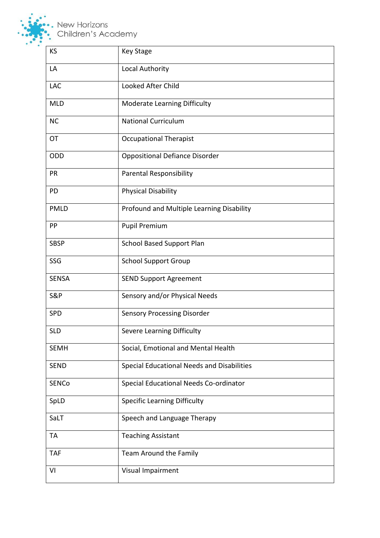

, New Horizons<br>, Children's Academy

| KS             | <b>Key Stage</b>                           |
|----------------|--------------------------------------------|
| LA             | Local Authority                            |
| <b>LAC</b>     | Looked After Child                         |
| <b>MLD</b>     | <b>Moderate Learning Difficulty</b>        |
| <b>NC</b>      | <b>National Curriculum</b>                 |
| OT             | <b>Occupational Therapist</b>              |
| ODD            | <b>Oppositional Defiance Disorder</b>      |
| PR             | <b>Parental Responsibility</b>             |
| PD             | <b>Physical Disability</b>                 |
| <b>PMLD</b>    | Profound and Multiple Learning Disability  |
| PP             | <b>Pupil Premium</b>                       |
| <b>SBSP</b>    | <b>School Based Support Plan</b>           |
| SSG            | <b>School Support Group</b>                |
| <b>SENSA</b>   | <b>SEND Support Agreement</b>              |
| <b>S&amp;P</b> | Sensory and/or Physical Needs              |
| SPD            | <b>Sensory Processing Disorder</b>         |
| <b>SLD</b>     | Severe Learning Difficulty                 |
| <b>SEMH</b>    | Social, Emotional and Mental Health        |
| <b>SEND</b>    | Special Educational Needs and Disabilities |
| <b>SENCo</b>   | Special Educational Needs Co-ordinator     |
| SpLD           | <b>Specific Learning Difficulty</b>        |
| SaLT           | Speech and Language Therapy                |
| <b>TA</b>      | <b>Teaching Assistant</b>                  |
| <b>TAF</b>     | Team Around the Family                     |
| VI             | Visual Impairment                          |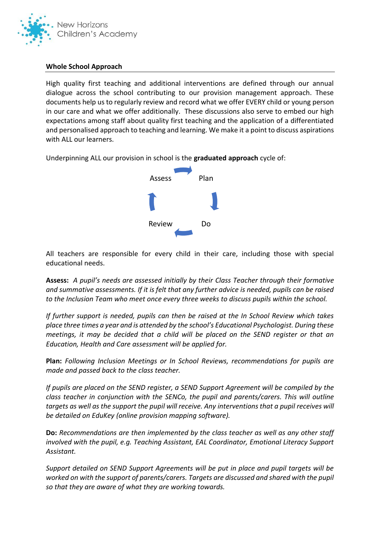

#### **Whole School Approach**

High quality first teaching and additional interventions are defined through our annual dialogue across the school contributing to our provision management approach. These documents help us to regularly review and record what we offer EVERY child or young person in our care and what we offer additionally. These discussions also serve to embed our high expectations among staff about quality first teaching and the application of a differentiated and personalised approach to teaching and learning. We make it a point to discuss aspirations with ALL our learners.

Underpinning ALL our provision in school is the **graduated approach** cycle of:



All teachers are responsible for every child in their care, including those with special educational needs.

**Assess:** *A pupil's needs are assessed initially by their Class Teacher through their formative and summative assessments. If it is felt that any further advice is needed, pupils can be raised to the Inclusion Team who meet once every three weeks to discuss pupils within the school.* 

*If further support is needed, pupils can then be raised at the In School Review which takes place three times a year and is attended by the school's Educational Psychologist. During these meetings, it may be decided that a child will be placed on the SEND register or that an Education, Health and Care assessment will be applied for.* 

**Plan:** *Following Inclusion Meetings or In School Reviews, recommendations for pupils are made and passed back to the class teacher.*

*If pupils are placed on the SEND register, a SEND Support Agreement will be compiled by the class teacher in conjunction with the SENCo, the pupil and parents/carers. This will outline targets as well as the support the pupil will receive. Any interventions that a pupil receives will be detailed on EduKey (online provision mapping software).* 

**Do:** *Recommendations are then implemented by the class teacher as well as any other staff involved with the pupil, e.g. Teaching Assistant, EAL Coordinator, Emotional Literacy Support Assistant.* 

*Support detailed on SEND Support Agreements will be put in place and pupil targets will be worked on with the support of parents/carers. Targets are discussed and shared with the pupil so that they are aware of what they are working towards.*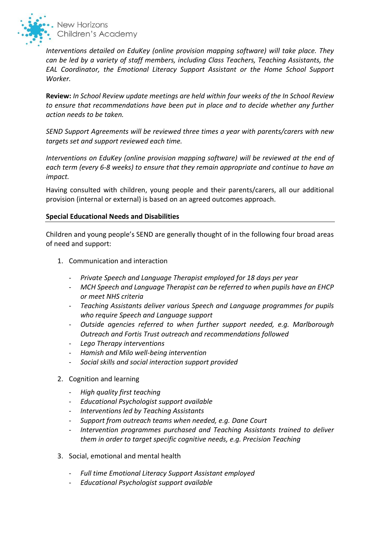

*Interventions detailed on EduKey (online provision mapping software) will take place. They can be led by a variety of staff members, including Class Teachers, Teaching Assistants, the EAL Coordinator, the Emotional Literacy Support Assistant or the Home School Support Worker.* 

**Review:** *In School Review update meetings are held within four weeks of the In School Review to ensure that recommendations have been put in place and to decide whether any further action needs to be taken.* 

*SEND Support Agreements will be reviewed three times a year with parents/carers with new targets set and support reviewed each time.* 

*Interventions on EduKey (online provision mapping software) will be reviewed at the end of each term (every 6-8 weeks) to ensure that they remain appropriate and continue to have an impact.* 

Having consulted with children, young people and their parents/carers, all our additional provision (internal or external) is based on an agreed outcomes approach.

### **Special Educational Needs and Disabilities**

Children and young people's SEND are generally thought of in the following four broad areas of need and support:

- 1. Communication and interaction
	- *Private Speech and Language Therapist employed for 18 days per year*
	- *MCH Speech and Language Therapist can be referred to when pupils have an EHCP or meet NHS criteria*
	- *Teaching Assistants deliver various Speech and Language programmes for pupils who require Speech and Language support*
	- *Outside agencies referred to when further support needed, e.g. Marlborough Outreach and Fortis Trust outreach and recommendations followed*
	- *Lego Therapy interventions*
	- *Hamish and Milo well-being intervention*
	- *Social skills and social interaction support provided*
- 2. Cognition and learning
	- *High quality first teaching*
	- *Educational Psychologist support available*
	- *Interventions led by Teaching Assistants*
	- *Support from outreach teams when needed, e.g. Dane Court*
	- *Intervention programmes purchased and Teaching Assistants trained to deliver them in order to target specific cognitive needs, e.g. Precision Teaching*
- 3. Social, emotional and mental health
	- *Full time Emotional Literacy Support Assistant employed*
	- *Educational Psychologist support available*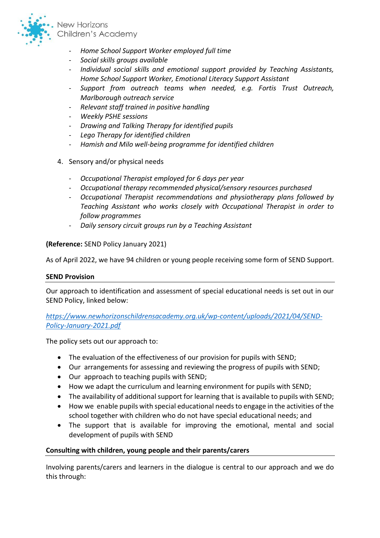

- *Home School Support Worker employed full time*
- *Social skills groups available*
- *Individual social skills and emotional support provided by Teaching Assistants, Home School Support Worker, Emotional Literacy Support Assistant*
- *Support from outreach teams when needed, e.g. Fortis Trust Outreach, Marlborough outreach service*
- *Relevant staff trained in positive handling*
- *Weekly PSHE sessions*
- *Drawing and Talking Therapy for identified pupils*
- *Lego Therapy for identified children*
- *Hamish and Milo well-being programme for identified children*
- 4. Sensory and/or physical needs
	- *Occupational Therapist employed for 6 days per year*
	- *Occupational therapy recommended physical/sensory resources purchased*
	- *Occupational Therapist recommendations and physiotherapy plans followed by Teaching Assistant who works closely with Occupational Therapist in order to follow programmes*
	- *Daily sensory circuit groups run by a Teaching Assistant*

**(Reference:** SEND Policy January 2021)

As of April 2022, we have 94 children or young people receiving some form of SEND Support.

#### **SEND Provision**

Our approach to identification and assessment of special educational needs is set out in our SEND Policy, linked below:

*[https://www.newhorizonschildrensacademy.org.uk/wp-content/uploads/2021/04/SEND-](https://www.newhorizonschildrensacademy.org.uk/wp-content/uploads/2021/04/SEND-Policy-January-2021.pdf)[Policy-January-2021.pdf](https://www.newhorizonschildrensacademy.org.uk/wp-content/uploads/2021/04/SEND-Policy-January-2021.pdf)*

The policy sets out our approach to:

- The evaluation of the effectiveness of our provision for pupils with SEND;
- Our arrangements for assessing and reviewing the progress of pupils with SEND;
- Our approach to teaching pupils with SEND;
- How we adapt the curriculum and learning environment for pupils with SEND;
- The availability of additional support for learning that is available to pupils with SEND;
- How we enable pupils with special educational needs to engage in the activities of the school together with children who do not have special educational needs; and
- The support that is available for improving the emotional, mental and social development of pupils with SEND

### **Consulting with children, young people and their parents/carers**

Involving parents/carers and learners in the dialogue is central to our approach and we do this through: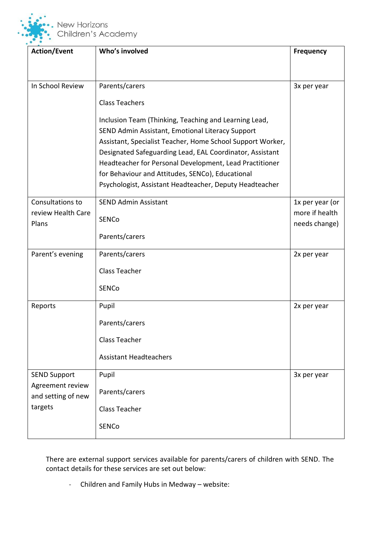

| <b>Action/Event</b>                                                      | Who's involved                                                                                                                                                                                                                                                                                                                                                                                                | <b>Frequency</b>                |
|--------------------------------------------------------------------------|---------------------------------------------------------------------------------------------------------------------------------------------------------------------------------------------------------------------------------------------------------------------------------------------------------------------------------------------------------------------------------------------------------------|---------------------------------|
|                                                                          |                                                                                                                                                                                                                                                                                                                                                                                                               |                                 |
| In School Review                                                         | Parents/carers                                                                                                                                                                                                                                                                                                                                                                                                | 3x per year                     |
|                                                                          | <b>Class Teachers</b>                                                                                                                                                                                                                                                                                                                                                                                         |                                 |
|                                                                          | Inclusion Team (Thinking, Teaching and Learning Lead,<br>SEND Admin Assistant, Emotional Literacy Support<br>Assistant, Specialist Teacher, Home School Support Worker,<br>Designated Safeguarding Lead, EAL Coordinator, Assistant<br>Headteacher for Personal Development, Lead Practitioner<br>for Behaviour and Attitudes, SENCo), Educational<br>Psychologist, Assistant Headteacher, Deputy Headteacher |                                 |
| Consultations to                                                         | <b>SEND Admin Assistant</b>                                                                                                                                                                                                                                                                                                                                                                                   | 1x per year (or                 |
| review Health Care<br>Plans                                              | <b>SENCo</b>                                                                                                                                                                                                                                                                                                                                                                                                  | more if health<br>needs change) |
|                                                                          | Parents/carers                                                                                                                                                                                                                                                                                                                                                                                                |                                 |
| Parent's evening                                                         | Parents/carers                                                                                                                                                                                                                                                                                                                                                                                                | 2x per year                     |
|                                                                          | <b>Class Teacher</b>                                                                                                                                                                                                                                                                                                                                                                                          |                                 |
|                                                                          | <b>SENCo</b>                                                                                                                                                                                                                                                                                                                                                                                                  |                                 |
| Reports                                                                  | Pupil                                                                                                                                                                                                                                                                                                                                                                                                         | 2x per year                     |
|                                                                          | Parents/carers                                                                                                                                                                                                                                                                                                                                                                                                |                                 |
|                                                                          | <b>Class Teacher</b>                                                                                                                                                                                                                                                                                                                                                                                          |                                 |
|                                                                          | <b>Assistant Headteachers</b>                                                                                                                                                                                                                                                                                                                                                                                 |                                 |
| <b>SEND Support</b><br>Agreement review<br>and setting of new<br>targets | Pupil                                                                                                                                                                                                                                                                                                                                                                                                         | 3x per year                     |
|                                                                          | Parents/carers                                                                                                                                                                                                                                                                                                                                                                                                |                                 |
|                                                                          | <b>Class Teacher</b>                                                                                                                                                                                                                                                                                                                                                                                          |                                 |
|                                                                          | <b>SENCo</b>                                                                                                                                                                                                                                                                                                                                                                                                  |                                 |

There are external support services available for parents/carers of children with SEND. The contact details for these services are set out below:

- Children and Family Hubs in Medway – website: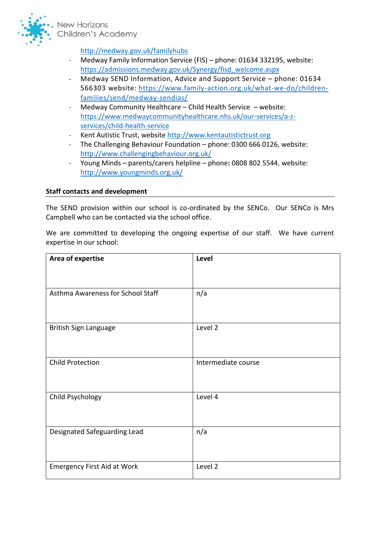

<http://medway.gov.uk/familyhubs>

- Medway Family Information Service (FIS) phone: 01634 332195, website: [https://admissions.medway.gov.uk/Synergy/fisd\\_welcome.aspx](https://admissions.medway.gov.uk/Synergy/fisd_welcome.aspx)
- Medway SEND Information, Advice and Support Service phone: 01634 566303 website: [https://www.family-action.org.uk/what-we-do/children](https://www.family-action.org.uk/what-we-do/children-families/send/medway-sendias/)[families/send/medway-sendias/](https://www.family-action.org.uk/what-we-do/children-families/send/medway-sendias/)
- Medway Community Healthcare Child Health Service website: [https://www.medwaycommunityhealthcare.nhs.uk/our-services/a-z](https://www.medwaycommunityhealthcare.nhs.uk/our-services/a-z-services/child-health-service)[services/child-health-service](https://www.medwaycommunityhealthcare.nhs.uk/our-services/a-z-services/child-health-service)
- Kent Autistic Trust, website http://www.kentautistictrust.org
- The Challenging Behaviour Foundation phone: 0300 666 0126, website: <http://www.challengingbehaviour.org.uk/>
- Young Minds parents/carers helpline phone**:** 0808 802 5544, website: <http://www.youngminds.org.uk/>

### **Staff contacts and development**

The SEND provision within our school is co-ordinated by the SENCo. Our SENCo is Mrs Campbell who can be contacted via the school office.

We are committed to developing the ongoing expertise of our staff. We have current expertise in our school:

| Area of expertise                  | Level               |
|------------------------------------|---------------------|
|                                    |                     |
| Asthma Awareness for School Staff  | n/a                 |
| British Sign Language              | Level 2             |
| <b>Child Protection</b>            | Intermediate course |
| Child Psychology                   | Level 4             |
| Designated Safeguarding Lead       | n/a                 |
| <b>Emergency First Aid at Work</b> | Level 2             |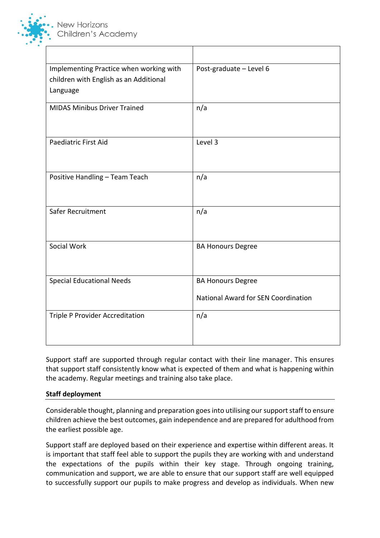

| Implementing Practice when working with<br>children with English as an Additional<br>Language | Post-graduate - Level 6                                         |
|-----------------------------------------------------------------------------------------------|-----------------------------------------------------------------|
| <b>MIDAS Minibus Driver Trained</b>                                                           | n/a                                                             |
| <b>Paediatric First Aid</b>                                                                   | Level 3                                                         |
| Positive Handling - Team Teach                                                                | n/a                                                             |
| Safer Recruitment                                                                             | n/a                                                             |
| Social Work                                                                                   | <b>BA Honours Degree</b>                                        |
| <b>Special Educational Needs</b>                                                              | <b>BA Honours Degree</b><br>National Award for SEN Coordination |
| Triple P Provider Accreditation                                                               | n/a                                                             |

Support staff are supported through regular contact with their line manager. This ensures that support staff consistently know what is expected of them and what is happening within the academy. Regular meetings and training also take place.

### **Staff deployment**

Considerable thought, planning and preparation goes into utilising our support staff to ensure children achieve the best outcomes, gain independence and are prepared for adulthood from the earliest possible age.

Support staff are deployed based on their experience and expertise within different areas. It is important that staff feel able to support the pupils they are working with and understand the expectations of the pupils within their key stage. Through ongoing training, communication and support, we are able to ensure that our support staff are well equipped to successfully support our pupils to make progress and develop as individuals. When new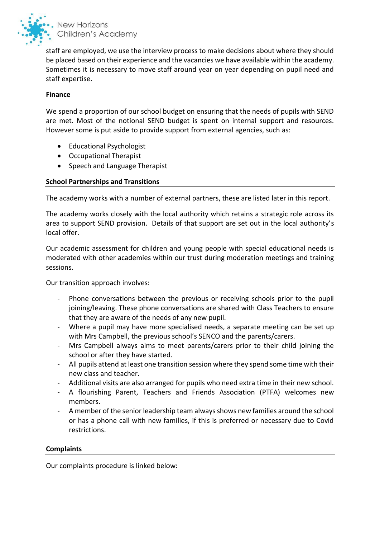

staff are employed, we use the interview process to make decisions about where they should be placed based on their experience and the vacancies we have available within the academy. Sometimes it is necessary to move staff around year on year depending on pupil need and staff expertise.

#### **Finance**

We spend a proportion of our school budget on ensuring that the needs of pupils with SEND are met. Most of the notional SEND budget is spent on internal support and resources. However some is put aside to provide support from external agencies, such as:

- Educational Psychologist
- Occupational Therapist
- Speech and Language Therapist

### **School Partnerships and Transitions**

The academy works with a number of external partners, these are listed later in this report.

The academy works closely with the local authority which retains a strategic role across its area to support SEND provision. Details of that support are set out in the local authority's local offer.

Our academic assessment for children and young people with special educational needs is moderated with other academies within our trust during moderation meetings and training sessions.

Our transition approach involves:

- Phone conversations between the previous or receiving schools prior to the pupil joining/leaving. These phone conversations are shared with Class Teachers to ensure that they are aware of the needs of any new pupil.
- Where a pupil may have more specialised needs, a separate meeting can be set up with Mrs Campbell, the previous school's SENCO and the parents/carers.
- Mrs Campbell always aims to meet parents/carers prior to their child joining the school or after they have started.
- All pupils attend at least one transition session where they spend some time with their new class and teacher.
- Additional visits are also arranged for pupils who need extra time in their new school.
- A flourishing Parent, Teachers and Friends Association (PTFA) welcomes new members.
- A member of the senior leadership team always shows new families around the school or has a phone call with new families, if this is preferred or necessary due to Covid restrictions.

#### **Complaints**

Our complaints procedure is linked below: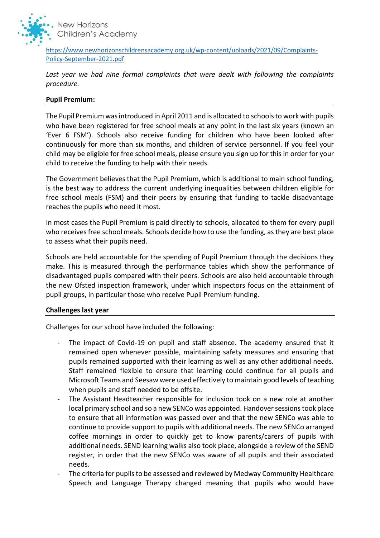

[https://www.newhorizonschildrensacademy.org.uk/wp-content/uploads/2021/09/Complaints-](https://www.newhorizonschildrensacademy.org.uk/wp-content/uploads/2021/09/Complaints-Policy-September-2021.pdf)[Policy-September-2021.pdf](https://www.newhorizonschildrensacademy.org.uk/wp-content/uploads/2021/09/Complaints-Policy-September-2021.pdf)

*Last year we had nine formal complaints that were dealt with following the complaints procedure.*

### **Pupil Premium:**

The Pupil Premium was introduced in April 2011 and is allocated to schools to work with pupils who have been registered for free school meals at any point in the last six years (known an 'Ever 6 FSM'). Schools also receive funding for children who have been looked after continuously for more than six months, and children of service personnel. If you feel your child may be eligible for free school meals, please ensure you sign up for this in order for your child to receive the funding to help with their needs.

The Government believes that the Pupil Premium, which is additional to main school funding, is the best way to address the current underlying inequalities between children eligible for free school meals (FSM) and their peers by ensuring that funding to tackle disadvantage reaches the pupils who need it most.

In most cases the Pupil Premium is paid directly to schools, allocated to them for every pupil who receives free school meals. Schools decide how to use the funding, as they are best place to assess what their pupils need.

Schools are held accountable for the spending of Pupil Premium through the decisions they make. This is measured through the performance tables which show the performance of disadvantaged pupils compared with their peers. Schools are also held accountable through the new Ofsted inspection framework, under which inspectors focus on the attainment of pupil groups, in particular those who receive Pupil Premium funding.

#### **Challenges last year**

Challenges for our school have included the following:

- The impact of Covid-19 on pupil and staff absence. The academy ensured that it remained open whenever possible, maintaining safety measures and ensuring that pupils remained supported with their learning as well as any other additional needs. Staff remained flexible to ensure that learning could continue for all pupils and Microsoft Teams and Seesaw were used effectively to maintain good levels of teaching when pupils and staff needed to be offsite.
- The Assistant Headteacher responsible for inclusion took on a new role at another local primary school and so a new SENCo was appointed. Handover sessions took place to ensure that all information was passed over and that the new SENCo was able to continue to provide support to pupils with additional needs. The new SENCo arranged coffee mornings in order to quickly get to know parents/carers of pupils with additional needs. SEND learning walks also took place, alongside a review of the SEND register, in order that the new SENCo was aware of all pupils and their associated needs.
- The criteria for pupils to be assessed and reviewed by Medway Community Healthcare Speech and Language Therapy changed meaning that pupils who would have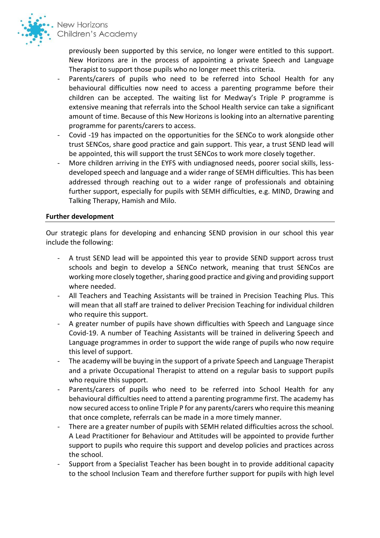

previously been supported by this service, no longer were entitled to this support. New Horizons are in the process of appointing a private Speech and Language Therapist to support those pupils who no longer meet this criteria.

- Parents/carers of pupils who need to be referred into School Health for any behavioural difficulties now need to access a parenting programme before their children can be accepted. The waiting list for Medway's Triple P programme is extensive meaning that referrals into the School Health service can take a significant amount of time. Because of this New Horizons is looking into an alternative parenting programme for parents/carers to access.
- Covid -19 has impacted on the opportunities for the SENCo to work alongside other trust SENCos, share good practice and gain support. This year, a trust SEND lead will be appointed, this will support the trust SENCos to work more closely together.
- More children arriving in the EYFS with undiagnosed needs, poorer social skills, lessdeveloped speech and language and a wider range of SEMH difficulties. This has been addressed through reaching out to a wider range of professionals and obtaining further support, especially for pupils with SEMH difficulties, e.g. MIND, Drawing and Talking Therapy, Hamish and Milo.

#### **Further development**

Our strategic plans for developing and enhancing SEND provision in our school this year include the following:

- A trust SEND lead will be appointed this year to provide SEND support across trust schools and begin to develop a SENCo network, meaning that trust SENCos are working more closely together, sharing good practice and giving and providing support where needed.
- All Teachers and Teaching Assistants will be trained in Precision Teaching Plus. This will mean that all staff are trained to deliver Precision Teaching for individual children who require this support.
- A greater number of pupils have shown difficulties with Speech and Language since Covid-19. A number of Teaching Assistants will be trained in delivering Speech and Language programmes in order to support the wide range of pupils who now require this level of support.
- The academy will be buying in the support of a private Speech and Language Therapist and a private Occupational Therapist to attend on a regular basis to support pupils who require this support.
- Parents/carers of pupils who need to be referred into School Health for any behavioural difficulties need to attend a parenting programme first. The academy has now secured access to online Triple P for any parents/carers who require this meaning that once complete, referrals can be made in a more timely manner.
- There are a greater number of pupils with SEMH related difficulties across the school. A Lead Practitioner for Behaviour and Attitudes will be appointed to provide further support to pupils who require this support and develop policies and practices across the school.
- Support from a Specialist Teacher has been bought in to provide additional capacity to the school Inclusion Team and therefore further support for pupils with high level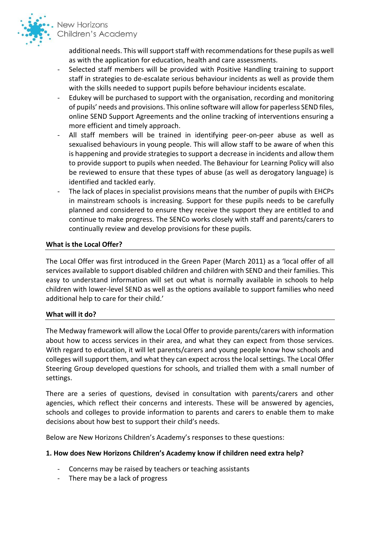

> additional needs. This will support staff with recommendations for these pupils as well as with the application for education, health and care assessments.

- Selected staff members will be provided with Positive Handling training to support staff in strategies to de-escalate serious behaviour incidents as well as provide them with the skills needed to support pupils before behaviour incidents escalate.
- Edukey will be purchased to support with the organisation, recording and monitoring of pupils' needs and provisions. This online software will allow for paperless SEND files, online SEND Support Agreements and the online tracking of interventions ensuring a more efficient and timely approach.
- All staff members will be trained in identifying peer-on-peer abuse as well as sexualised behaviours in young people. This will allow staff to be aware of when this is happening and provide strategies to support a decrease in incidents and allow them to provide support to pupils when needed. The Behaviour for Learning Policy will also be reviewed to ensure that these types of abuse (as well as derogatory language) is identified and tackled early.
- The lack of places in specialist provisions means that the number of pupils with EHCPs in mainstream schools is increasing. Support for these pupils needs to be carefully planned and considered to ensure they receive the support they are entitled to and continue to make progress. The SENCo works closely with staff and parents/carers to continually review and develop provisions for these pupils.

### **What is the Local Offer?**

The Local Offer was first introduced in the Green Paper (March 2011) as a 'local offer of all services available to support disabled children and children with SEND and their families. This easy to understand information will set out what is normally available in schools to help children with lower-level SEND as well as the options available to support families who need additional help to care for their child.'

#### **What will it do?**

The Medway framework will allow the Local Offer to provide parents/carers with information about how to access services in their area, and what they can expect from those services. With regard to education, it will let parents/carers and young people know how schools and colleges will support them, and what they can expect across the local settings. The Local Offer Steering Group developed questions for schools, and trialled them with a small number of settings.

There are a series of questions, devised in consultation with parents/carers and other agencies, which reflect their concerns and interests. These will be answered by agencies, schools and colleges to provide information to parents and carers to enable them to make decisions about how best to support their child's needs.

Below are New Horizons Children's Academy's responses to these questions:

### **1. How does New Horizons Children's Academy know if children need extra help?**

- Concerns may be raised by teachers or teaching assistants
- There may be a lack of progress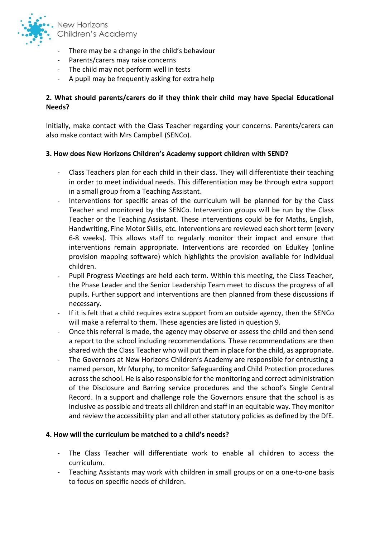

- There may be a change in the child's behaviour
- Parents/carers may raise concerns
- The child may not perform well in tests
- A pupil may be frequently asking for extra help

## **2. What should parents/carers do if they think their child may have Special Educational Needs?**

Initially, make contact with the Class Teacher regarding your concerns. Parents/carers can also make contact with Mrs Campbell (SENCo).

### **3. How does New Horizons Children's Academy support children with SEND?**

- Class Teachers plan for each child in their class. They will differentiate their teaching in order to meet individual needs. This differentiation may be through extra support in a small group from a Teaching Assistant.
- Interventions for specific areas of the curriculum will be planned for by the Class Teacher and monitored by the SENCo. Intervention groups will be run by the Class Teacher or the Teaching Assistant. These interventions could be for Maths, English, Handwriting, Fine Motor Skills, etc. Interventions are reviewed each short term (every 6-8 weeks). This allows staff to regularly monitor their impact and ensure that interventions remain appropriate. Interventions are recorded on EduKey (online provision mapping software) which highlights the provision available for individual children.
- Pupil Progress Meetings are held each term. Within this meeting, the Class Teacher, the Phase Leader and the Senior Leadership Team meet to discuss the progress of all pupils. Further support and interventions are then planned from these discussions if necessary.
- If it is felt that a child requires extra support from an outside agency, then the SENCo will make a referral to them. These agencies are listed in question 9.
- Once this referral is made, the agency may observe or assess the child and then send a report to the school including recommendations. These recommendations are then shared with the Class Teacher who will put them in place for the child, as appropriate.
- The Governors at New Horizons Children's Academy are responsible for entrusting a named person, Mr Murphy, to monitor Safeguarding and Child Protection procedures across the school. He is also responsible for the monitoring and correct administration of the Disclosure and Barring service procedures and the school's Single Central Record. In a support and challenge role the Governors ensure that the school is as inclusive as possible and treats all children and staff in an equitable way. They monitor and review the accessibility plan and all other statutory policies as defined by the DfE.

#### **4. How will the curriculum be matched to a child's needs?**

- The Class Teacher will differentiate work to enable all children to access the curriculum.
- Teaching Assistants may work with children in small groups or on a one-to-one basis to focus on specific needs of children.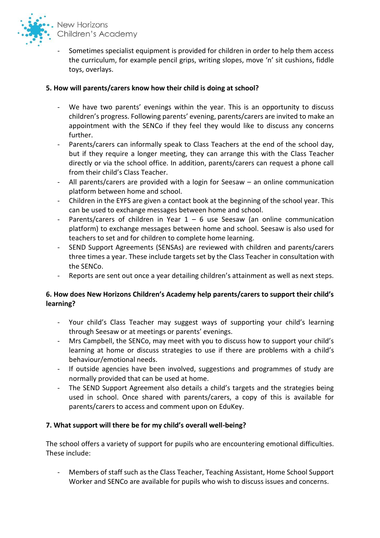

Sometimes specialist equipment is provided for children in order to help them access the curriculum, for example pencil grips, writing slopes, move 'n' sit cushions, fiddle toys, overlays.

# **5. How will parents/carers know how their child is doing at school?**

- We have two parents' evenings within the year. This is an opportunity to discuss children's progress. Following parents' evening, parents/carers are invited to make an appointment with the SENCo if they feel they would like to discuss any concerns further.
- Parents/carers can informally speak to Class Teachers at the end of the school day, but if they require a longer meeting, they can arrange this with the Class Teacher directly or via the school office. In addition, parents/carers can request a phone call from their child's Class Teacher.
- All parents/carers are provided with a login for Seesaw an online communication platform between home and school.
- Children in the EYFS are given a contact book at the beginning of the school year. This can be used to exchange messages between home and school.
- Parents/carers of children in Year  $1 6$  use Seesaw (an online communication platform) to exchange messages between home and school. Seesaw is also used for teachers to set and for children to complete home learning.
- SEND Support Agreements (SENSAs) are reviewed with children and parents/carers three times a year. These include targets set by the Class Teacher in consultation with the SENCo.
- Reports are sent out once a year detailing children's attainment as well as next steps.

# **6. How does New Horizons Children's Academy help parents/carers to support their child's learning?**

- Your child's Class Teacher may suggest ways of supporting your child's learning through Seesaw or at meetings or parents' evenings.
- Mrs Campbell, the SENCo, may meet with you to discuss how to support your child's learning at home or discuss strategies to use if there are problems with a child's behaviour/emotional needs.
- If outside agencies have been involved, suggestions and programmes of study are normally provided that can be used at home.
- The SEND Support Agreement also details a child's targets and the strategies being used in school. Once shared with parents/carers, a copy of this is available for parents/carers to access and comment upon on EduKey.

### **7. What support will there be for my child's overall well-being?**

The school offers a variety of support for pupils who are encountering emotional difficulties. These include:

- Members of staff such as the Class Teacher, Teaching Assistant, Home School Support Worker and SENCo are available for pupils who wish to discuss issues and concerns.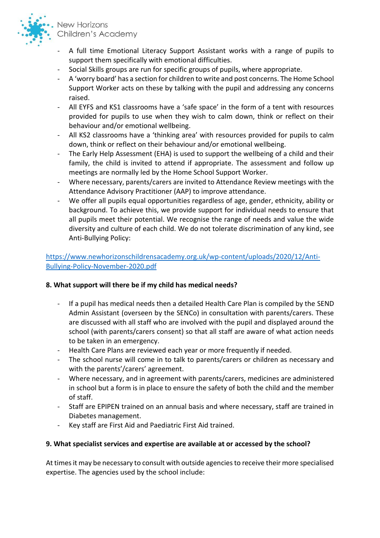

- A full time Emotional Literacy Support Assistant works with a range of pupils to support them specifically with emotional difficulties.
- Social Skills groups are run for specific groups of pupils, where appropriate.
- A 'worry board' has a section for children to write and post concerns. The Home School Support Worker acts on these by talking with the pupil and addressing any concerns raised.
- All EYFS and KS1 classrooms have a 'safe space' in the form of a tent with resources provided for pupils to use when they wish to calm down, think or reflect on their behaviour and/or emotional wellbeing.
- All KS2 classrooms have a 'thinking area' with resources provided for pupils to calm down, think or reflect on their behaviour and/or emotional wellbeing.
- The Early Help Assessment (EHA) is used to support the wellbeing of a child and their family, the child is invited to attend if appropriate. The assessment and follow up meetings are normally led by the Home School Support Worker.
- Where necessary, parents/carers are invited to Attendance Review meetings with the Attendance Advisory Practitioner (AAP) to improve attendance.
- We offer all pupils equal opportunities regardless of age, gender, ethnicity, ability or background. To achieve this, we provide support for individual needs to ensure that all pupils meet their potential. We recognise the range of needs and value the wide diversity and culture of each child. We do not tolerate discrimination of any kind, see Anti-Bullying Policy:

# [https://www.newhorizonschildrensacademy.org.uk/wp-content/uploads/2020/12/Anti-](https://www.newhorizonschildrensacademy.org.uk/wp-content/uploads/2020/12/Anti-Bullying-Policy-November-2020.pdf)[Bullying-Policy-November-2020.pdf](https://www.newhorizonschildrensacademy.org.uk/wp-content/uploads/2020/12/Anti-Bullying-Policy-November-2020.pdf)

### **8. What support will there be if my child has medical needs?**

- If a pupil has medical needs then a detailed Health Care Plan is compiled by the SEND Admin Assistant (overseen by the SENCo) in consultation with parents/carers. These are discussed with all staff who are involved with the pupil and displayed around the school (with parents/carers consent) so that all staff are aware of what action needs to be taken in an emergency.
- Health Care Plans are reviewed each year or more frequently if needed.
- The school nurse will come in to talk to parents/carers or children as necessary and with the parents'/carers' agreement.
- Where necessary, and in agreement with parents/carers, medicines are administered in school but a form is in place to ensure the safety of both the child and the member of staff.
- Staff are EPIPEN trained on an annual basis and where necessary, staff are trained in Diabetes management.
- Key staff are First Aid and Paediatric First Aid trained.

### **9. What specialist services and expertise are available at or accessed by the school?**

At times it may be necessary to consult with outside agencies to receive their more specialised expertise. The agencies used by the school include: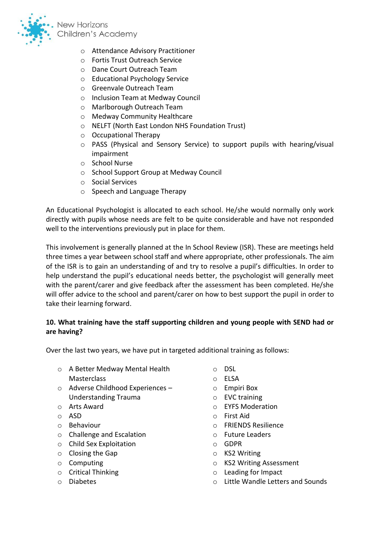

- o Attendance Advisory Practitioner
- o Fortis Trust Outreach Service
- o Dane Court Outreach Team
- o Educational Psychology Service
- o Greenvale Outreach Team
- o Inclusion Team at Medway Council
- o Marlborough Outreach Team
- o Medway Community Healthcare
- o NELFT (North East London NHS Foundation Trust)
- o Occupational Therapy
- o PASS (Physical and Sensory Service) to support pupils with hearing/visual impairment
- o School Nurse
- o School Support Group at Medway Council
- o Social Services
- o Speech and Language Therapy

An Educational Psychologist is allocated to each school. He/she would normally only work directly with pupils whose needs are felt to be quite considerable and have not responded well to the interventions previously put in place for them.

This involvement is generally planned at the In School Review (ISR). These are meetings held three times a year between school staff and where appropriate, other professionals. The aim of the ISR is to gain an understanding of and try to resolve a pupil's difficulties. In order to help understand the pupil's educational needs better, the psychologist will generally meet with the parent/carer and give feedback after the assessment has been completed. He/she will offer advice to the school and parent/carer on how to best support the pupil in order to take their learning forward.

### **10. What training have the staff supporting children and young people with SEND had or are having?**

Over the last two years, we have put in targeted additional training as follows:

- o A Better Medway Mental Health **Masterclass**
- o Adverse Childhood Experiences Understanding Trauma
- o Arts Award
- o ASD
- o Behaviour
- o Challenge and Escalation
- o Child Sex Exploitation
- o Closing the Gap
- o Computing
- o Critical Thinking
- o Diabetes
- o DSL
- o ELSA
- o Empiri Box
- o EVC training
- o EYFS Moderation
- o First Aid
- o FRIENDS Resilience
- o Future Leaders
- o GDPR
- o KS2 Writing
- o KS2 Writing Assessment
- o Leading for Impact
- o Little Wandle Letters and Sounds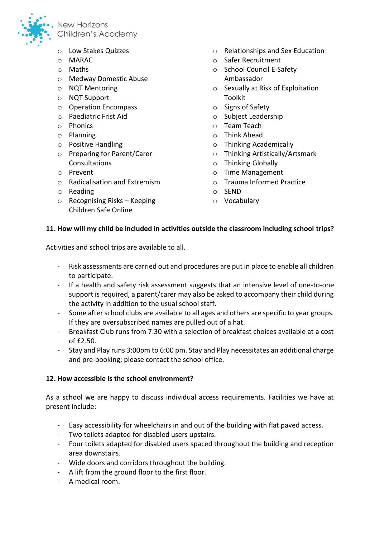

- o Low Stakes Quizzes
- o MARAC
- o Maths
- o Medway Domestic Abuse
- o NQT Mentoring
- o NQT Support
- o Operation Encompass
- o Paediatric Frist Aid
- o Phonics
- o Planning
- o Positive Handling
- o Preparing for Parent/Carer Consultations
- o Prevent
- o Radicalisation and Extremism
- o Reading
- o Recognising Risks Keeping Children Safe Online
- o Relationships and Sex Education
- o Safer Recruitment
- o School Council E-Safety Ambassador
- o Sexually at Risk of Exploitation Toolkit
- o Signs of Safety
- o Subject Leadership
- o Team Teach
- o Think Ahead
- o Thinking Academically
- o Thinking Artistically/Artsmark
- o Thinking Globally
- o Time Management
- o Trauma Informed Practice
- o SEND
- o Vocabulary

### **11. How will my child be included in activities outside the classroom including school trips?**

Activities and school trips are available to all.

- Risk assessments are carried out and procedures are put in place to enable all children to participate.
- If a health and safety risk assessment suggests that an intensive level of one-to-one support is required, a parent/carer may also be asked to accompany their child during the activity in addition to the usual school staff.
- Some after school clubs are available to all ages and others are specific to year groups. If they are oversubscribed names are pulled out of a hat.
- Breakfast Club runs from 7:30 with a selection of breakfast choices available at a cost  $of f2.50.$
- Stay and Play runs 3:00pm to 6:00 pm. Stay and Play necessitates an additional charge and pre-booking; please contact the school office.

#### **12. How accessible is the school environment?**

As a school we are happy to discuss individual access requirements. Facilities we have at present include:

- Easy accessibility for wheelchairs in and out of the building with flat paved access.
- Two toilets adapted for disabled users upstairs.
- Four toilets adapted for disabled users spaced throughout the building and reception area downstairs.
- Wide doors and corridors throughout the building.
- A lift from the ground floor to the first floor.
- A medical room.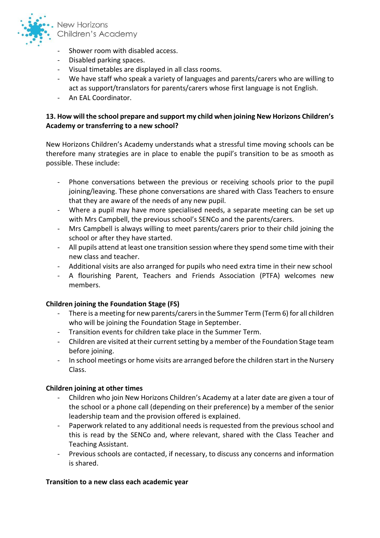

- Shower room with disabled access.
- Disabled parking spaces.
- Visual timetables are displayed in all class rooms.
- We have staff who speak a variety of languages and parents/carers who are willing to act as support/translators for parents/carers whose first language is not English.
- An EAL Coordinator.

# **13. How will the school prepare and support my child when joining New Horizons Children's Academy or transferring to a new school?**

New Horizons Children's Academy understands what a stressful time moving schools can be therefore many strategies are in place to enable the pupil's transition to be as smooth as possible. These include:

- Phone conversations between the previous or receiving schools prior to the pupil joining/leaving. These phone conversations are shared with Class Teachers to ensure that they are aware of the needs of any new pupil.
- Where a pupil may have more specialised needs, a separate meeting can be set up with Mrs Campbell, the previous school's SENCo and the parents/carers.
- Mrs Campbell is always willing to meet parents/carers prior to their child joining the school or after they have started.
- All pupils attend at least one transition session where they spend some time with their new class and teacher.
- Additional visits are also arranged for pupils who need extra time in their new school
- A flourishing Parent, Teachers and Friends Association (PTFA) welcomes new members.

#### **Children joining the Foundation Stage (FS)**

- There is a meeting for new parents/carers in the Summer Term (Term 6) for all children who will be joining the Foundation Stage in September.
- Transition events for children take place in the Summer Term.
- Children are visited at their current setting by a member of the Foundation Stage team before joining.
- In school meetings or home visits are arranged before the children start in the Nursery Class.

#### **Children joining at other times**

- Children who join New Horizons Children's Academy at a later date are given a tour of the school or a phone call (depending on their preference) by a member of the senior leadership team and the provision offered is explained.
- Paperwork related to any additional needs is requested from the previous school and this is read by the SENCo and, where relevant, shared with the Class Teacher and Teaching Assistant.
- Previous schools are contacted, if necessary, to discuss any concerns and information is shared.

#### **Transition to a new class each academic year**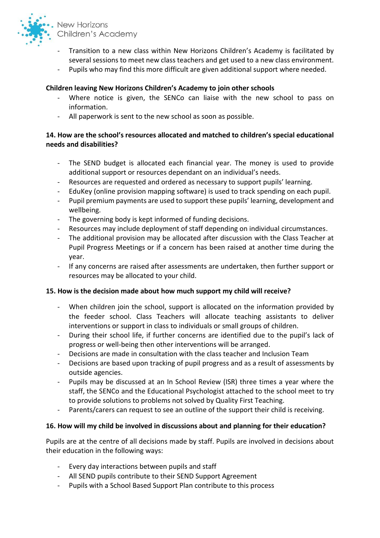

- Transition to a new class within New Horizons Children's Academy is facilitated by several sessions to meet new class teachers and get used to a new class environment.
- Pupils who may find this more difficult are given additional support where needed.

### **Children leaving New Horizons Children's Academy to join other schools**

- Where notice is given, the SENCo can liaise with the new school to pass on information.
- All paperwork is sent to the new school as soon as possible.

## **14. How are the school's resources allocated and matched to children's special educational needs and disabilities?**

- The SEND budget is allocated each financial year. The money is used to provide additional support or resources dependant on an individual's needs.
- Resources are requested and ordered as necessary to support pupils' learning.
- EduKey (online provision mapping software) is used to track spending on each pupil.
- Pupil premium payments are used to support these pupils' learning, development and wellbeing.
- The governing body is kept informed of funding decisions.
- Resources may include deployment of staff depending on individual circumstances.
- The additional provision may be allocated after discussion with the Class Teacher at Pupil Progress Meetings or if a concern has been raised at another time during the year.
- If any concerns are raised after assessments are undertaken, then further support or resources may be allocated to your child.

#### **15. How is the decision made about how much support my child will receive?**

- When children join the school, support is allocated on the information provided by the feeder school. Class Teachers will allocate teaching assistants to deliver interventions or support in class to individuals or small groups of children.
- During their school life, if further concerns are identified due to the pupil's lack of progress or well-being then other interventions will be arranged.
- Decisions are made in consultation with the class teacher and Inclusion Team
- Decisions are based upon tracking of pupil progress and as a result of assessments by outside agencies.
- Pupils may be discussed at an In School Review (ISR) three times a year where the staff, the SENCo and the Educational Psychologist attached to the school meet to try to provide solutions to problems not solved by Quality First Teaching.
- Parents/carers can request to see an outline of the support their child is receiving.

#### **16. How will my child be involved in discussions about and planning for their education?**

Pupils are at the centre of all decisions made by staff. Pupils are involved in decisions about their education in the following ways:

- Every day interactions between pupils and staff
- All SEND pupils contribute to their SEND Support Agreement
- Pupils with a School Based Support Plan contribute to this process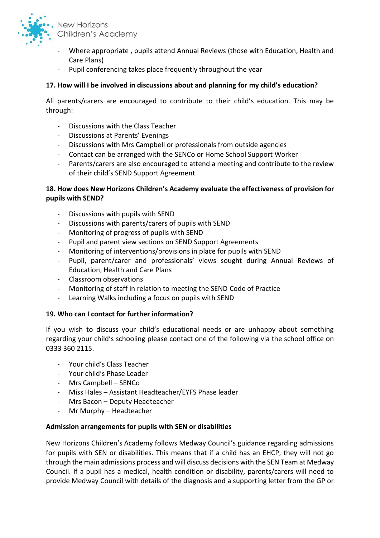

- Where appropriate , pupils attend Annual Reviews (those with Education, Health and Care Plans)
- Pupil conferencing takes place frequently throughout the year

# **17. How will I be involved in discussions about and planning for my child's education?**

All parents/carers are encouraged to contribute to their child's education. This may be through:

- Discussions with the Class Teacher
- Discussions at Parents' Evenings
- Discussions with Mrs Campbell or professionals from outside agencies
- Contact can be arranged with the SENCo or Home School Support Worker
- Parents/carers are also encouraged to attend a meeting and contribute to the review of their child's SEND Support Agreement

# **18. How does New Horizons Children's Academy evaluate the effectiveness of provision for pupils with SEND?**

- Discussions with pupils with SEND
- Discussions with parents/carers of pupils with SEND
- Monitoring of progress of pupils with SEND
- Pupil and parent view sections on SEND Support Agreements
- Monitoring of interventions/provisions in place for pupils with SEND
- Pupil, parent/carer and professionals' views sought during Annual Reviews of Education, Health and Care Plans
- Classroom observations
- Monitoring of staff in relation to meeting the SEND Code of Practice
- Learning Walks including a focus on pupils with SEND

### **19. Who can I contact for further information?**

If you wish to discuss your child's educational needs or are unhappy about something regarding your child's schooling please contact one of the following via the school office on 0333 360 2115.

- Your child's Class Teacher
- Your child's Phase Leader
- Mrs Campbell SENCo
- Miss Hales Assistant Headteacher/EYFS Phase leader
- Mrs Bacon Deputy Headteacher
- Mr Murphy Headteacher

### **Admission arrangements for pupils with SEN or disabilities**

New Horizons Children's Academy follows Medway Council's guidance regarding admissions for pupils with SEN or disabilities. This means that if a child has an EHCP, they will not go through the main admissions process and will discuss decisions with the SEN Team at Medway Council. If a pupil has a medical, health condition or disability, parents/carers will need to provide Medway Council with details of the diagnosis and a supporting letter from the GP or